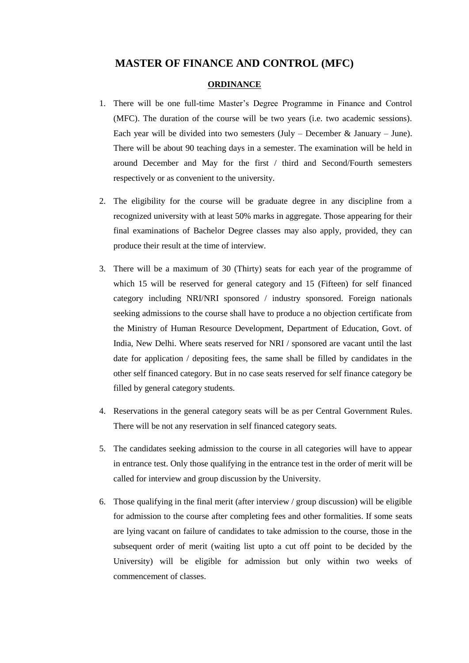## **MASTER OF FINANCE AND CONTROL (MFC)**

#### **ORDINANCE**

- 1. There will be one full-time Master's Degree Programme in Finance and Control (MFC). The duration of the course will be two years (i.e. two academic sessions). Each year will be divided into two semesters  $(\text{July} - \text{December} \& \text{ January} - \text{June}).$ There will be about 90 teaching days in a semester. The examination will be held in around December and May for the first / third and Second/Fourth semesters respectively or as convenient to the university.
- 2. The eligibility for the course will be graduate degree in any discipline from a recognized university with at least 50% marks in aggregate. Those appearing for their final examinations of Bachelor Degree classes may also apply, provided, they can produce their result at the time of interview.
- 3. There will be a maximum of 30 (Thirty) seats for each year of the programme of which 15 will be reserved for general category and 15 (Fifteen) for self financed category including NRI/NRI sponsored / industry sponsored. Foreign nationals seeking admissions to the course shall have to produce a no objection certificate from the Ministry of Human Resource Development, Department of Education, Govt. of India, New Delhi. Where seats reserved for NRI / sponsored are vacant until the last date for application / depositing fees, the same shall be filled by candidates in the other self financed category. But in no case seats reserved for self finance category be filled by general category students.
- 4. Reservations in the general category seats will be as per Central Government Rules. There will be not any reservation in self financed category seats.
- 5. The candidates seeking admission to the course in all categories will have to appear in entrance test. Only those qualifying in the entrance test in the order of merit will be called for interview and group discussion by the University.
- 6. Those qualifying in the final merit (after interview / group discussion) will be eligible for admission to the course after completing fees and other formalities. If some seats are lying vacant on failure of candidates to take admission to the course, those in the subsequent order of merit (waiting list upto a cut off point to be decided by the University) will be eligible for admission but only within two weeks of commencement of classes.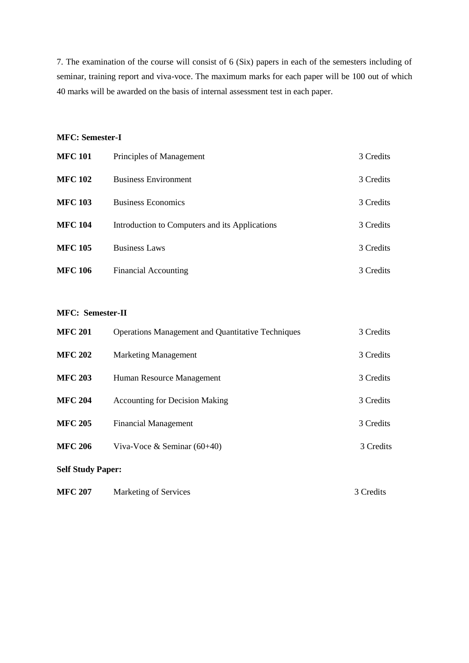7. The examination of the course will consist of 6 (Six) papers in each of the semesters including of seminar, training report and viva-voce. The maximum marks for each paper will be 100 out of which 40 marks will be awarded on the basis of internal assessment test in each paper.

### **MFC: Semester-I**

| <b>MFC 101</b> | Principles of Management                       | 3 Credits |
|----------------|------------------------------------------------|-----------|
| <b>MFC 102</b> | <b>Business Environment</b>                    | 3 Credits |
| <b>MFC 103</b> | <b>Business Economics</b>                      | 3 Credits |
| <b>MFC 104</b> | Introduction to Computers and its Applications | 3 Credits |
| <b>MFC 105</b> | <b>Business Laws</b>                           | 3 Credits |
| <b>MFC 106</b> | <b>Financial Accounting</b>                    | 3 Credits |

### **MFC: Semester-II**

| <b>MFC 201</b>           | <b>Operations Management and Quantitative Techniques</b> | 3 Credits |
|--------------------------|----------------------------------------------------------|-----------|
| <b>MFC 202</b>           | <b>Marketing Management</b>                              | 3 Credits |
| <b>MFC 203</b>           | Human Resource Management                                | 3 Credits |
| <b>MFC 204</b>           | <b>Accounting for Decision Making</b>                    | 3 Credits |
| <b>MFC 205</b>           | <b>Financial Management</b>                              | 3 Credits |
| <b>MFC 206</b>           | Viva-Voce & Seminar $(60+40)$                            | 3 Credits |
| <b>Self Study Paper:</b> |                                                          |           |
| <b>MFC 207</b>           | <b>Marketing of Services</b>                             | 3 Credits |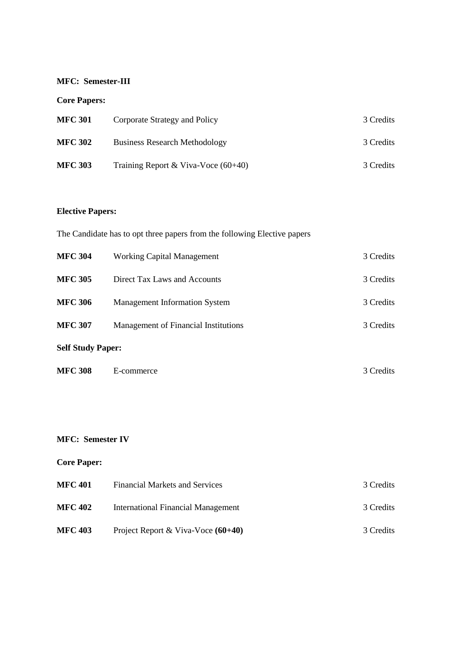## **MFC: Semester-III**

# **Core Papers:**

| <b>MFC 301</b> | Corporate Strategy and Policy         | 3 Credits |
|----------------|---------------------------------------|-----------|
| <b>MFC 302</b> | <b>Business Research Methodology</b>  | 3 Credits |
| <b>MFC 303</b> | Training Report & Viva-Voce $(60+40)$ | 3 Credits |

# **Elective Papers:**

|                          | The Candidate has to opt three papers from the following Elective papers |           |  |
|--------------------------|--------------------------------------------------------------------------|-----------|--|
| <b>MFC 304</b>           | <b>Working Capital Management</b>                                        | 3 Credits |  |
| <b>MFC 305</b>           | Direct Tax Laws and Accounts                                             | 3 Credits |  |
| <b>MFC 306</b>           | <b>Management Information System</b>                                     | 3 Credits |  |
| <b>MFC 307</b>           | Management of Financial Institutions                                     | 3 Credits |  |
| <b>Self Study Paper:</b> |                                                                          |           |  |
|                          |                                                                          |           |  |

| <b>MFC 308</b> | E-commerce | 3 Credits |
|----------------|------------|-----------|
|                |            |           |

## **MFC: Semester IV**

# **Core Paper:**

| <b>MFC 401</b> | <b>Financial Markets and Services</b> | 3 Credits |
|----------------|---------------------------------------|-----------|
| <b>MFC 402</b> | International Financial Management    | 3 Credits |
| <b>MFC 403</b> | Project Report & Viva-Voce $(60+40)$  | 3 Credits |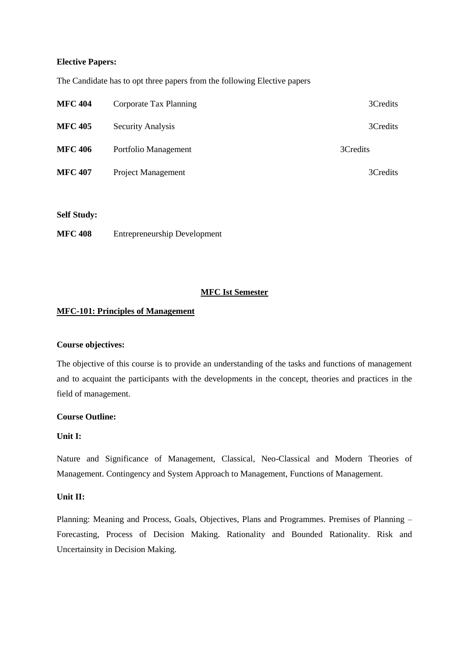#### **Elective Papers:**

The Candidate has to opt three papers from the following Elective papers

| <b>MFC 404</b> | Corporate Tax Planning    | 3Credits |
|----------------|---------------------------|----------|
| <b>MFC 405</b> | <b>Security Analysis</b>  | 3Credits |
| <b>MFC 406</b> | Portfolio Management      | 3Credits |
| <b>MFC 407</b> | <b>Project Management</b> | 3Credits |

**Self Study:**

**MFC 408** Entrepreneurship Development

#### **MFC Ist Semester**

#### **MFC-101: Principles of Management**

#### **Course objectives:**

The objective of this course is to provide an understanding of the tasks and functions of management and to acquaint the participants with the developments in the concept, theories and practices in the field of management.

#### **Course Outline:**

### **Unit I:**

Nature and Significance of Management, Classical, Neo-Classical and Modern Theories of Management. Contingency and System Approach to Management, Functions of Management.

### **Unit II:**

Planning: Meaning and Process, Goals, Objectives, Plans and Programmes. Premises of Planning – Forecasting, Process of Decision Making. Rationality and Bounded Rationality. Risk and Uncertainsity in Decision Making.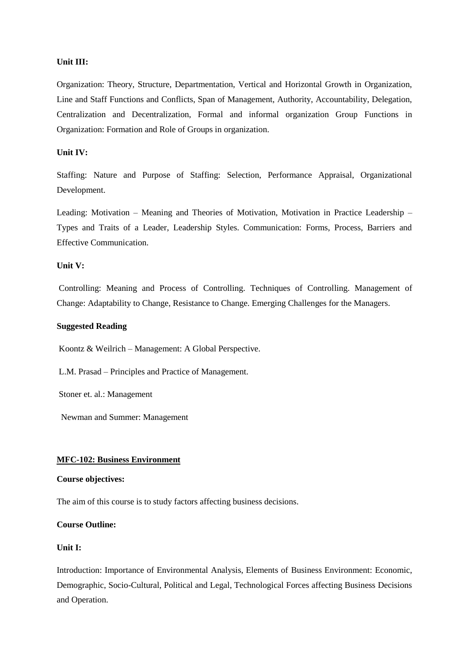Organization: Theory, Structure, Departmentation, Vertical and Horizontal Growth in Organization, Line and Staff Functions and Conflicts, Span of Management, Authority, Accountability, Delegation, Centralization and Decentralization, Formal and informal organization Group Functions in Organization: Formation and Role of Groups in organization.

### **Unit IV:**

Staffing: Nature and Purpose of Staffing: Selection, Performance Appraisal, Organizational Development.

Leading: Motivation – Meaning and Theories of Motivation, Motivation in Practice Leadership – Types and Traits of a Leader, Leadership Styles. Communication: Forms, Process, Barriers and Effective Communication.

#### **Unit V:**

Controlling: Meaning and Process of Controlling. Techniques of Controlling. Management of Change: Adaptability to Change, Resistance to Change. Emerging Challenges for the Managers.

#### **Suggested Reading**

Koontz & Weilrich – Management: A Global Perspective.

L.M. Prasad – Principles and Practice of Management.

Stoner et. al.: Management

Newman and Summer: Management

#### **MFC-102: Business Environment**

#### **Course objectives:**

The aim of this course is to study factors affecting business decisions.

### **Course Outline:**

### **Unit I:**

Introduction: Importance of Environmental Analysis, Elements of Business Environment: Economic, Demographic, Socio-Cultural, Political and Legal, Technological Forces affecting Business Decisions and Operation.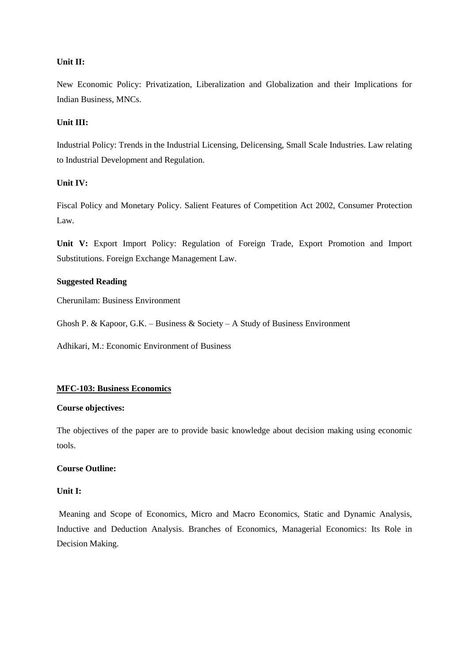New Economic Policy: Privatization, Liberalization and Globalization and their Implications for Indian Business, MNCs.

### **Unit III:**

Industrial Policy: Trends in the Industrial Licensing, Delicensing, Small Scale Industries. Law relating to Industrial Development and Regulation.

### **Unit IV:**

Fiscal Policy and Monetary Policy. Salient Features of Competition Act 2002, Consumer Protection Law.

**Unit V:** Export Import Policy: Regulation of Foreign Trade, Export Promotion and Import Substitutions. Foreign Exchange Management Law.

### **Suggested Reading**

Cherunilam: Business Environment

Ghosh P. & Kapoor, G.K. – Business & Society – A Study of Business Environment

Adhikari, M.: Economic Environment of Business

## **MFC-103: Business Economics**

#### **Course objectives:**

The objectives of the paper are to provide basic knowledge about decision making using economic tools.

#### **Course Outline:**

#### **Unit I:**

Meaning and Scope of Economics, Micro and Macro Economics, Static and Dynamic Analysis, Inductive and Deduction Analysis. Branches of Economics, Managerial Economics: Its Role in Decision Making.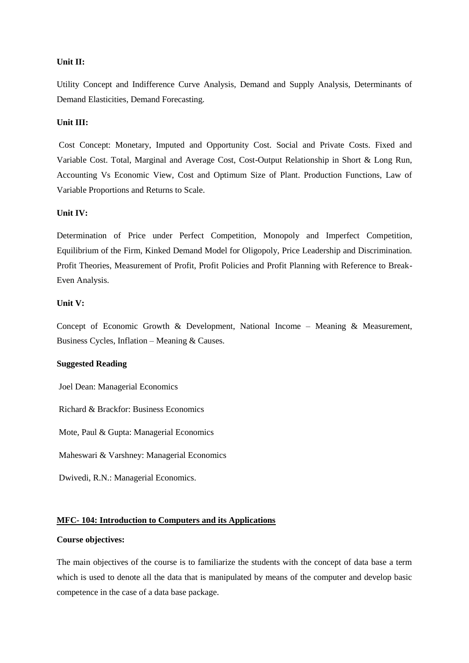Utility Concept and Indifference Curve Analysis, Demand and Supply Analysis, Determinants of Demand Elasticities, Demand Forecasting.

#### **Unit III:**

Cost Concept: Monetary, Imputed and Opportunity Cost. Social and Private Costs. Fixed and Variable Cost. Total, Marginal and Average Cost, Cost-Output Relationship in Short & Long Run, Accounting Vs Economic View, Cost and Optimum Size of Plant. Production Functions, Law of Variable Proportions and Returns to Scale.

#### **Unit IV:**

Determination of Price under Perfect Competition, Monopoly and Imperfect Competition, Equilibrium of the Firm, Kinked Demand Model for Oligopoly, Price Leadership and Discrimination. Profit Theories, Measurement of Profit, Profit Policies and Profit Planning with Reference to Break-Even Analysis.

### **Unit V:**

Concept of Economic Growth & Development, National Income – Meaning & Measurement, Business Cycles, Inflation – Meaning & Causes.

#### **Suggested Reading**

Joel Dean: Managerial Economics

Richard & Brackfor: Business Economics

Mote, Paul & Gupta: Managerial Economics

Maheswari & Varshney: Managerial Economics

Dwivedi, R.N.: Managerial Economics.

### **MFC- 104: Introduction to Computers and its Applications**

## **Course objectives:**

The main objectives of the course is to familiarize the students with the concept of data base a term which is used to denote all the data that is manipulated by means of the computer and develop basic competence in the case of a data base package.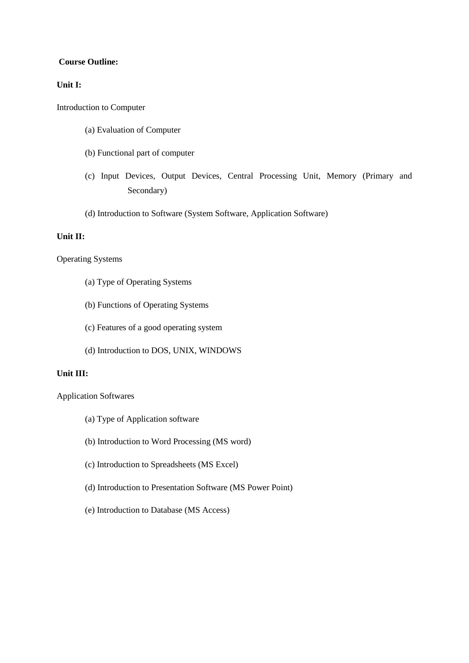#### **Course Outline:**

### **Unit I:**

Introduction to Computer

- (a) Evaluation of Computer
- (b) Functional part of computer
- (c) Input Devices, Output Devices, Central Processing Unit, Memory (Primary and Secondary)
- (d) Introduction to Software (System Software, Application Software)

## **Unit II:**

### Operating Systems

- (a) Type of Operating Systems
- (b) Functions of Operating Systems
- (c) Features of a good operating system
- (d) Introduction to DOS, UNIX, WINDOWS

### **Unit III:**

Application Softwares

- (a) Type of Application software
- (b) Introduction to Word Processing (MS word)
- (c) Introduction to Spreadsheets (MS Excel)
- (d) Introduction to Presentation Software (MS Power Point)
- (e) Introduction to Database (MS Access)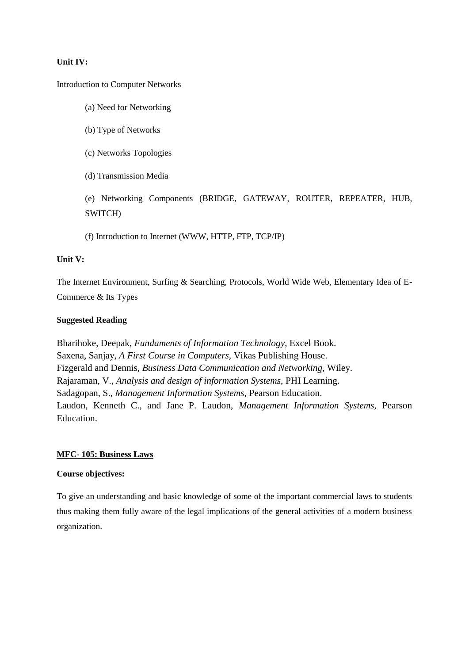### **Unit IV:**

Introduction to Computer Networks

- (a) Need for Networking
- (b) Type of Networks
- (c) Networks Topologies
- (d) Transmission Media

(e) Networking Components (BRIDGE, GATEWAY, ROUTER, REPEATER, HUB, SWITCH)

(f) Introduction to Internet (WWW, HTTP, FTP, TCP/IP)

#### **Unit V:**

The Internet Environment, Surfing & Searching, Protocols, World Wide Web, Elementary Idea of E-Commerce & Its Types

#### **Suggested Reading**

Bharihoke, Deepak, *Fundaments of Information Technology*, Excel Book. Saxena, Sanjay, *A First Course in Computers,* Vikas Publishing House. Fizgerald and Dennis, *Business Data Communication and Networking,* Wiley. Rajaraman, V., *Analysis and design of information Systems,* PHI Learning. Sadagopan, S., *Management Information Systems,* Pearson Education. Laudon, Kenneth C., and Jane P. Laudon, *Management Information Systems,* Pearson Education.

#### **MFC- 105: Business Laws**

#### **Course objectives:**

To give an understanding and basic knowledge of some of the important commercial laws to students thus making them fully aware of the legal implications of the general activities of a modern business organization.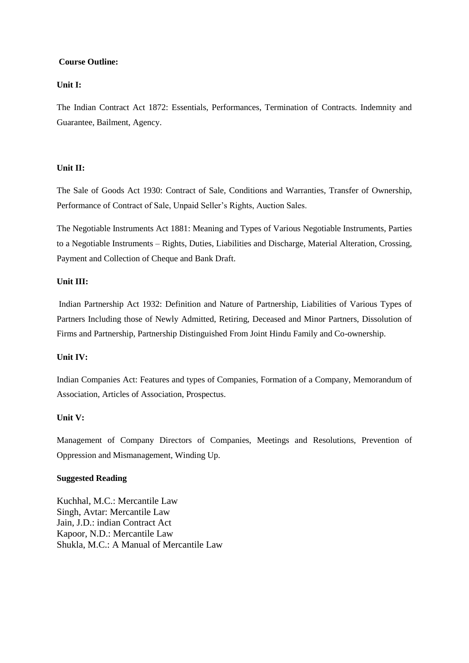### **Course Outline:**

## **Unit I:**

The Indian Contract Act 1872: Essentials, Performances, Termination of Contracts. Indemnity and Guarantee, Bailment, Agency.

### **Unit II:**

The Sale of Goods Act 1930: Contract of Sale, Conditions and Warranties, Transfer of Ownership, Performance of Contract of Sale, Unpaid Seller's Rights, Auction Sales.

The Negotiable Instruments Act 1881: Meaning and Types of Various Negotiable Instruments, Parties to a Negotiable Instruments – Rights, Duties, Liabilities and Discharge, Material Alteration, Crossing, Payment and Collection of Cheque and Bank Draft.

### **Unit III:**

Indian Partnership Act 1932: Definition and Nature of Partnership, Liabilities of Various Types of Partners Including those of Newly Admitted, Retiring, Deceased and Minor Partners, Dissolution of Firms and Partnership, Partnership Distinguished From Joint Hindu Family and Co-ownership.

## **Unit IV:**

Indian Companies Act: Features and types of Companies, Formation of a Company, Memorandum of Association, Articles of Association, Prospectus.

## **Unit V:**

Management of Company Directors of Companies, Meetings and Resolutions, Prevention of Oppression and Mismanagement, Winding Up.

#### **Suggested Reading**

Kuchhal, M.C.: Mercantile Law Singh, Avtar: Mercantile Law Jain, J.D.: indian Contract Act Kapoor, N.D.: Mercantile Law Shukla, M.C.: A Manual of Mercantile Law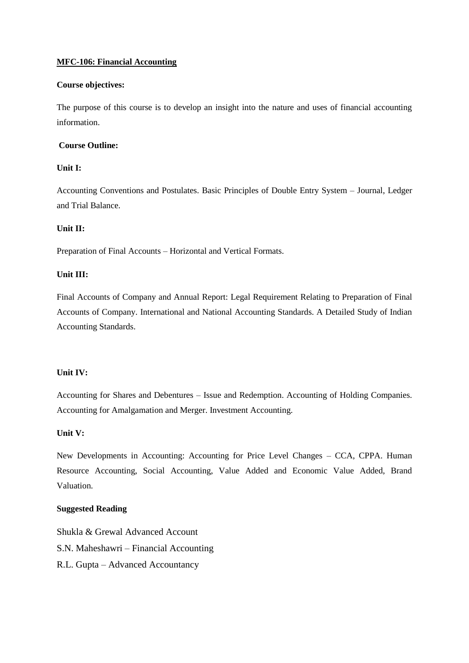### **MFC-106: Financial Accounting**

### **Course objectives:**

The purpose of this course is to develop an insight into the nature and uses of financial accounting information.

## **Course Outline:**

### **Unit I:**

Accounting Conventions and Postulates. Basic Principles of Double Entry System – Journal, Ledger and Trial Balance.

### **Unit II:**

Preparation of Final Accounts – Horizontal and Vertical Formats.

## **Unit III:**

Final Accounts of Company and Annual Report: Legal Requirement Relating to Preparation of Final Accounts of Company. International and National Accounting Standards. A Detailed Study of Indian Accounting Standards.

#### **Unit IV:**

Accounting for Shares and Debentures – Issue and Redemption. Accounting of Holding Companies. Accounting for Amalgamation and Merger. Investment Accounting.

#### **Unit V:**

New Developments in Accounting: Accounting for Price Level Changes – CCA, CPPA. Human Resource Accounting, Social Accounting, Value Added and Economic Value Added, Brand Valuation.

### **Suggested Reading**

Shukla & Grewal Advanced Account S.N. Maheshawri – Financial Accounting R.L. Gupta – Advanced Accountancy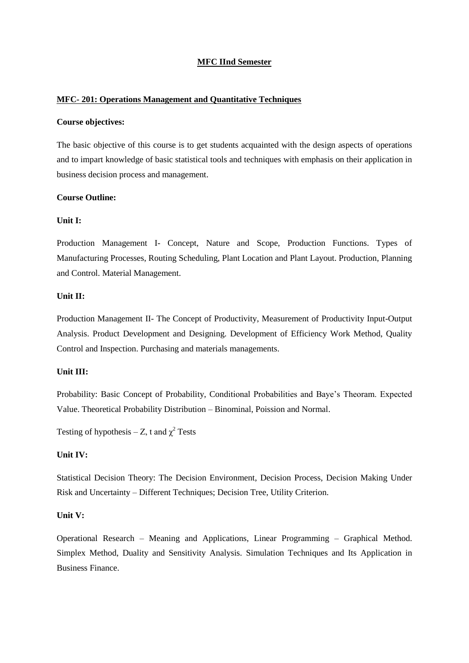### **MFC IInd Semester**

#### **MFC- 201: Operations Management and Quantitative Techniques**

#### **Course objectives:**

The basic objective of this course is to get students acquainted with the design aspects of operations and to impart knowledge of basic statistical tools and techniques with emphasis on their application in business decision process and management.

#### **Course Outline:**

### **Unit I:**

Production Management I- Concept, Nature and Scope, Production Functions. Types of Manufacturing Processes, Routing Scheduling, Plant Location and Plant Layout. Production, Planning and Control. Material Management.

#### **Unit II:**

Production Management II- The Concept of Productivity, Measurement of Productivity Input-Output Analysis. Product Development and Designing. Development of Efficiency Work Method, Quality Control and Inspection. Purchasing and materials managements.

#### **Unit III:**

Probability: Basic Concept of Probability, Conditional Probabilities and Baye's Theoram. Expected Value. Theoretical Probability Distribution – Binominal, Poission and Normal.

Testing of hypothesis – Z, t and  $\chi^2$  Tests

#### **Unit IV:**

Statistical Decision Theory: The Decision Environment, Decision Process, Decision Making Under Risk and Uncertainty – Different Techniques; Decision Tree, Utility Criterion.

### **Unit V:**

Operational Research – Meaning and Applications, Linear Programming – Graphical Method. Simplex Method, Duality and Sensitivity Analysis. Simulation Techniques and Its Application in Business Finance.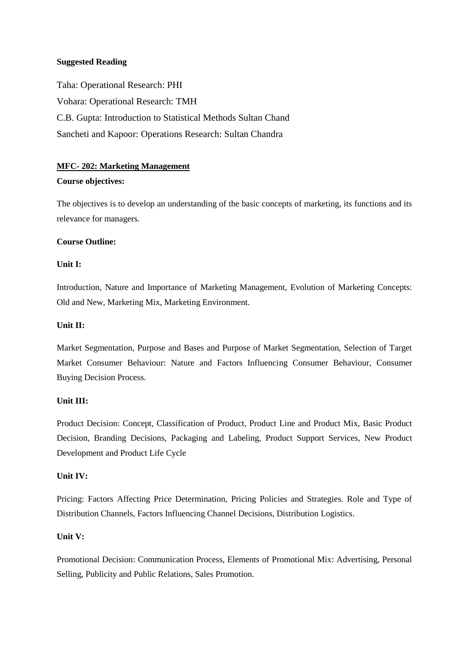### **Suggested Reading**

Taha: Operational Research: PHI Vohara: Operational Research: TMH C.B. Gupta: Introduction to Statistical Methods Sultan Chand Sancheti and Kapoor: Operations Research: Sultan Chandra

## **MFC- 202: Marketing Management**

### **Course objectives:**

The objectives is to develop an understanding of the basic concepts of marketing, its functions and its relevance for managers.

### **Course Outline:**

## **Unit I:**

Introduction, Nature and Importance of Marketing Management, Evolution of Marketing Concepts: Old and New, Marketing Mix, Marketing Environment.

### **Unit II:**

Market Segmentation, Purpose and Bases and Purpose of Market Segmentation, Selection of Target Market Consumer Behaviour: Nature and Factors Influencing Consumer Behaviour, Consumer Buying Decision Process.

## **Unit III:**

Product Decision: Concept, Classification of Product, Product Line and Product Mix, Basic Product Decision, Branding Decisions, Packaging and Labeling, Product Support Services, New Product Development and Product Life Cycle

#### **Unit IV:**

Pricing: Factors Affecting Price Determination, Pricing Policies and Strategies. Role and Type of Distribution Channels, Factors Influencing Channel Decisions, Distribution Logistics.

## **Unit V:**

Promotional Decision: Communication Process, Elements of Promotional Mix: Advertising, Personal Selling, Publicity and Public Relations, Sales Promotion.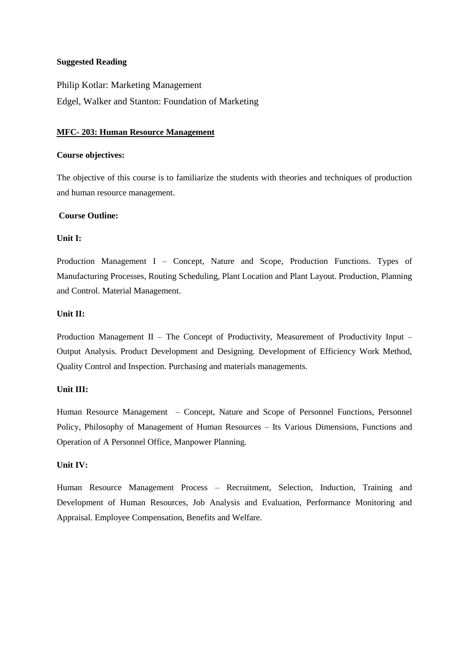#### **Suggested Reading**

Philip Kotlar: Marketing Management Edgel, Walker and Stanton: Foundation of Marketing

#### **MFC- 203: Human Resource Management**

#### **Course objectives:**

The objective of this course is to familiarize the students with theories and techniques of production and human resource management.

#### **Course Outline:**

### **Unit I:**

Production Management I – Concept, Nature and Scope, Production Functions. Types of Manufacturing Processes, Routing Scheduling, Plant Location and Plant Layout. Production, Planning and Control. Material Management.

#### **Unit II:**

Production Management II – The Concept of Productivity, Measurement of Productivity Input – Output Analysis. Product Development and Designing. Development of Efficiency Work Method, Quality Control and Inspection. Purchasing and materials managements.

#### **Unit III:**

Human Resource Management – Concept, Nature and Scope of Personnel Functions, Personnel Policy, Philosophy of Management of Human Resources – Its Various Dimensions, Functions and Operation of A Personnel Office, Manpower Planning.

#### **Unit IV:**

Human Resource Management Process – Recruitment, Selection, Induction, Training and Development of Human Resources, Job Analysis and Evaluation, Performance Monitoring and Appraisal. Employee Compensation, Benefits and Welfare.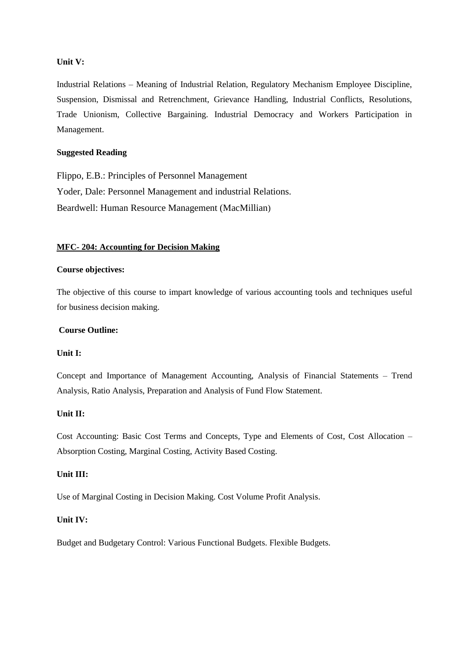### **Unit V:**

Industrial Relations – Meaning of Industrial Relation, Regulatory Mechanism Employee Discipline, Suspension, Dismissal and Retrenchment, Grievance Handling, Industrial Conflicts, Resolutions, Trade Unionism, Collective Bargaining. Industrial Democracy and Workers Participation in Management.

## **Suggested Reading**

Flippo, E.B.: Principles of Personnel Management Yoder, Dale: Personnel Management and industrial Relations. Beardwell: Human Resource Management (MacMillian)

### **MFC- 204: Accounting for Decision Making**

#### **Course objectives:**

The objective of this course to impart knowledge of various accounting tools and techniques useful for business decision making.

### **Course Outline:**

#### **Unit I:**

Concept and Importance of Management Accounting, Analysis of Financial Statements – Trend Analysis, Ratio Analysis, Preparation and Analysis of Fund Flow Statement.

#### **Unit II:**

Cost Accounting: Basic Cost Terms and Concepts, Type and Elements of Cost, Cost Allocation – Absorption Costing, Marginal Costing, Activity Based Costing.

### **Unit III:**

Use of Marginal Costing in Decision Making. Cost Volume Profit Analysis.

#### **Unit IV:**

Budget and Budgetary Control: Various Functional Budgets. Flexible Budgets.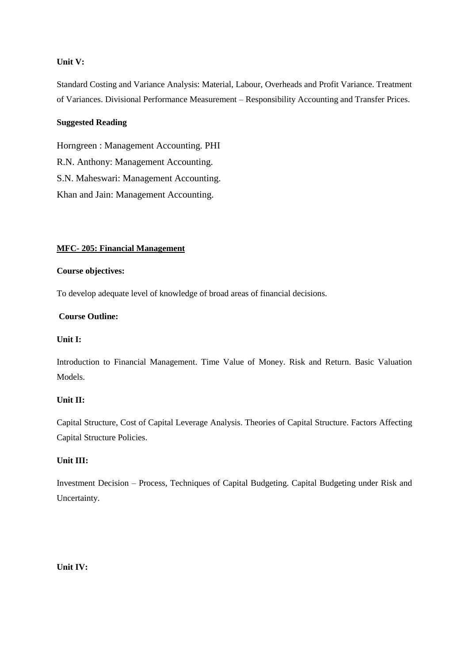## **Unit V:**

Standard Costing and Variance Analysis: Material, Labour, Overheads and Profit Variance. Treatment of Variances. Divisional Performance Measurement – Responsibility Accounting and Transfer Prices.

## **Suggested Reading**

Horngreen : Management Accounting. PHI R.N. Anthony: Management Accounting. S.N. Maheswari: Management Accounting. Khan and Jain: Management Accounting.

### **MFC- 205: Financial Management**

#### **Course objectives:**

To develop adequate level of knowledge of broad areas of financial decisions.

### **Course Outline:**

#### **Unit I:**

Introduction to Financial Management. Time Value of Money. Risk and Return. Basic Valuation Models.

## **Unit II:**

Capital Structure, Cost of Capital Leverage Analysis. Theories of Capital Structure. Factors Affecting Capital Structure Policies.

## **Unit III:**

Investment Decision – Process, Techniques of Capital Budgeting. Capital Budgeting under Risk and Uncertainty.

### **Unit IV:**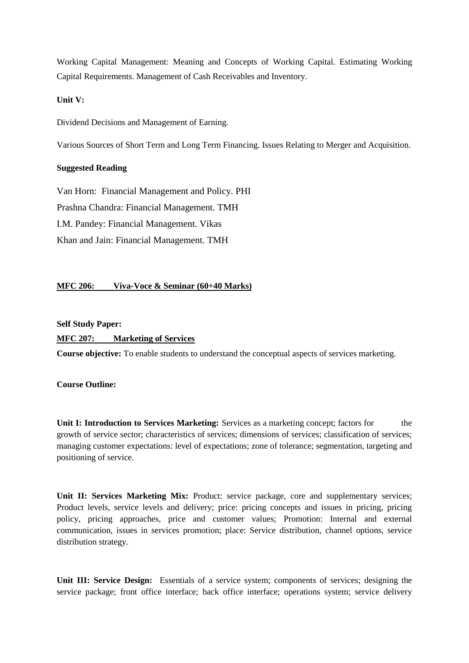Working Capital Management: Meaning and Concepts of Working Capital. Estimating Working Capital Requirements. Management of Cash Receivables and Inventory.

### **Unit V:**

Dividend Decisions and Management of Earning.

Various Sources of Short Term and Long Term Financing. Issues Relating to Merger and Acquisition.

## **Suggested Reading**

Van Horn: Financial Management and Policy. PHI Prashna Chandra: Financial Management. TMH I.M. Pandey: Financial Management. Vikas Khan and Jain: Financial Management. TMH

## **MFC 206: Viva-Voce & Seminar (60+40 Marks)**

**Self Study Paper:**

## **MFC 207: Marketing of Services**

**Course objective:** To enable students to understand the conceptual aspects of services marketing.

**Course Outline:**

**Unit I: Introduction to Services Marketing:** Services as a marketing concept; factors for the growth of service sector; characteristics of services; dimensions of services; classification of services; managing customer expectations: level of expectations; zone of tolerance; segmentation, targeting and positioning of service.

Unit II: Services Marketing Mix: Product: service package, core and supplementary services; Product levels, service levels and delivery; price: pricing concepts and issues in pricing, pricing policy, pricing approaches, price and customer values; Promotion: Internal and external communication, issues in services promotion; place: Service distribution, channel options, service distribution strategy.

**Unit III: Service Design:** Essentials of a service system; components of services; designing the service package; front office interface; back office interface; operations system; service delivery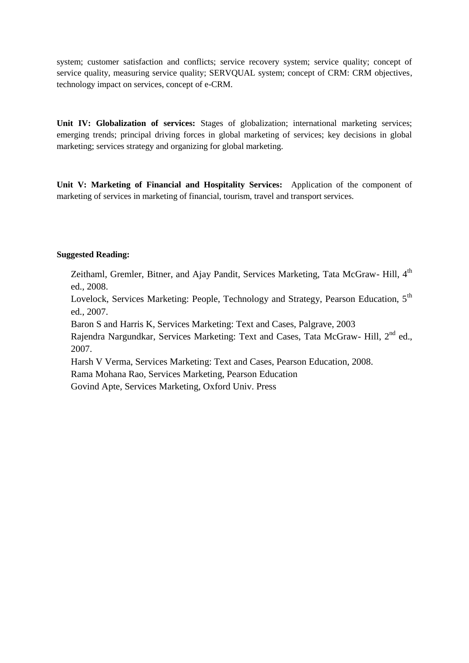system; customer satisfaction and conflicts; service recovery system; service quality; concept of service quality, measuring service quality; SERVQUAL system; concept of CRM: CRM objectives, technology impact on services, concept of e-CRM.

**Unit IV: Globalization of services:** Stages of globalization; international marketing services; emerging trends; principal driving forces in global marketing of services; key decisions in global marketing; services strategy and organizing for global marketing.

**Unit V: Marketing of Financial and Hospitality Services:** Application of the component of marketing of services in marketing of financial, tourism, travel and transport services.

### **Suggested Reading:**

Zeithaml, Gremler, Bitner, and Ajay Pandit, Services Marketing, Tata McGraw- Hill, 4<sup>th</sup> ed., 2008.

Lovelock, Services Marketing: People, Technology and Strategy, Pearson Education, 5<sup>th</sup> ed., 2007.

Baron S and Harris K, Services Marketing: Text and Cases, Palgrave, 2003

Rajendra Nargundkar, Services Marketing: Text and Cases, Tata McGraw- Hill, 2<sup>nd</sup> ed., 2007.

Harsh V Verma, Services Marketing: Text and Cases, Pearson Education, 2008.

Rama Mohana Rao, Services Marketing, Pearson Education

Govind Apte, Services Marketing, Oxford Univ. Press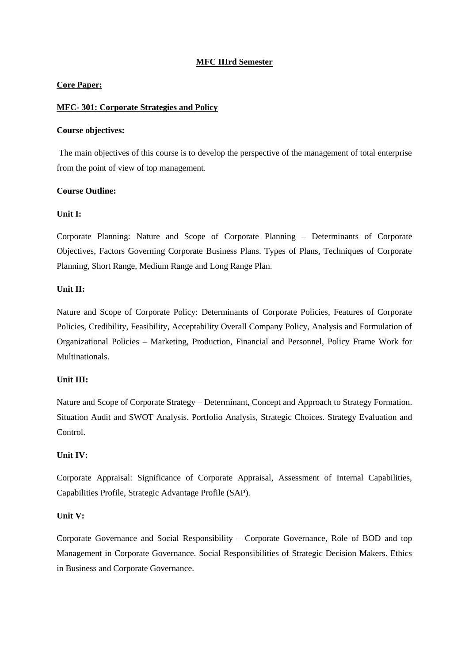### **MFC IIIrd Semester**

### **Core Paper:**

### **MFC- 301: Corporate Strategies and Policy**

#### **Course objectives:**

The main objectives of this course is to develop the perspective of the management of total enterprise from the point of view of top management.

### **Course Outline:**

### **Unit I:**

Corporate Planning: Nature and Scope of Corporate Planning – Determinants of Corporate Objectives, Factors Governing Corporate Business Plans. Types of Plans, Techniques of Corporate Planning, Short Range, Medium Range and Long Range Plan.

### **Unit II:**

Nature and Scope of Corporate Policy: Determinants of Corporate Policies, Features of Corporate Policies, Credibility, Feasibility, Acceptability Overall Company Policy, Analysis and Formulation of Organizational Policies – Marketing, Production, Financial and Personnel, Policy Frame Work for Multinationals.

## **Unit III:**

Nature and Scope of Corporate Strategy – Determinant, Concept and Approach to Strategy Formation. Situation Audit and SWOT Analysis. Portfolio Analysis, Strategic Choices. Strategy Evaluation and Control.

### **Unit IV:**

Corporate Appraisal: Significance of Corporate Appraisal, Assessment of Internal Capabilities, Capabilities Profile, Strategic Advantage Profile (SAP).

## **Unit V:**

Corporate Governance and Social Responsibility – Corporate Governance, Role of BOD and top Management in Corporate Governance. Social Responsibilities of Strategic Decision Makers. Ethics in Business and Corporate Governance.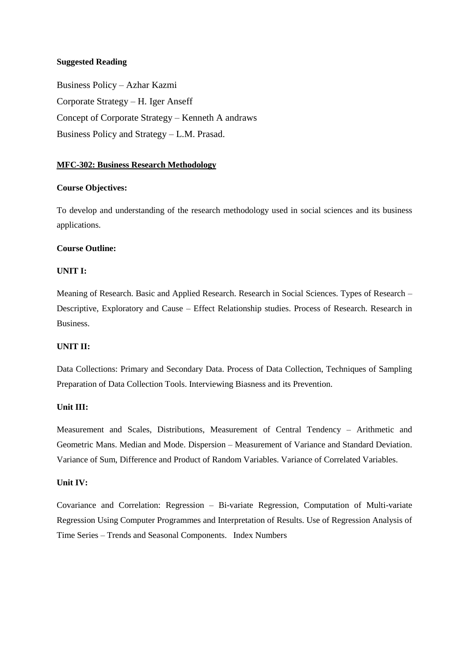### **Suggested Reading**

Business Policy – Azhar Kazmi Corporate Strategy – H. Iger Anseff Concept of Corporate Strategy – Kenneth A andraws Business Policy and Strategy – L.M. Prasad.

### **MFC-302: Business Research Methodology**

### **Course Objectives:**

To develop and understanding of the research methodology used in social sciences and its business applications.

### **Course Outline:**

### **UNIT I:**

Meaning of Research. Basic and Applied Research. Research in Social Sciences. Types of Research – Descriptive, Exploratory and Cause – Effect Relationship studies. Process of Research. Research in Business.

### **UNIT II:**

Data Collections: Primary and Secondary Data. Process of Data Collection, Techniques of Sampling Preparation of Data Collection Tools. Interviewing Biasness and its Prevention.

#### **Unit III:**

Measurement and Scales, Distributions, Measurement of Central Tendency – Arithmetic and Geometric Mans. Median and Mode. Dispersion – Measurement of Variance and Standard Deviation. Variance of Sum, Difference and Product of Random Variables. Variance of Correlated Variables.

#### **Unit IV:**

Covariance and Correlation: Regression – Bi-variate Regression, Computation of Multi-variate Regression Using Computer Programmes and Interpretation of Results. Use of Regression Analysis of Time Series – Trends and Seasonal Components. Index Numbers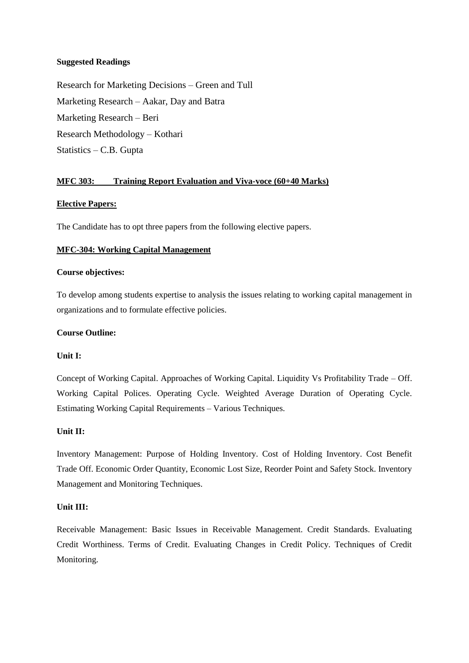### **Suggested Readings**

Research for Marketing Decisions – Green and Tull Marketing Research – Aakar, Day and Batra Marketing Research – Beri Research Methodology – Kothari Statistics – C.B. Gupta

## **MFC 303: Training Report Evaluation and Viva-voce (60+40 Marks)**

### **Elective Papers:**

The Candidate has to opt three papers from the following elective papers.

#### **MFC-304: Working Capital Management**

### **Course objectives:**

To develop among students expertise to analysis the issues relating to working capital management in organizations and to formulate effective policies.

#### **Course Outline:**

#### **Unit I:**

Concept of Working Capital. Approaches of Working Capital. Liquidity Vs Profitability Trade – Off. Working Capital Polices. Operating Cycle. Weighted Average Duration of Operating Cycle. Estimating Working Capital Requirements – Various Techniques.

### **Unit II:**

Inventory Management: Purpose of Holding Inventory. Cost of Holding Inventory. Cost Benefit Trade Off. Economic Order Quantity, Economic Lost Size, Reorder Point and Safety Stock. Inventory Management and Monitoring Techniques.

#### **Unit III:**

Receivable Management: Basic Issues in Receivable Management. Credit Standards. Evaluating Credit Worthiness. Terms of Credit. Evaluating Changes in Credit Policy. Techniques of Credit Monitoring.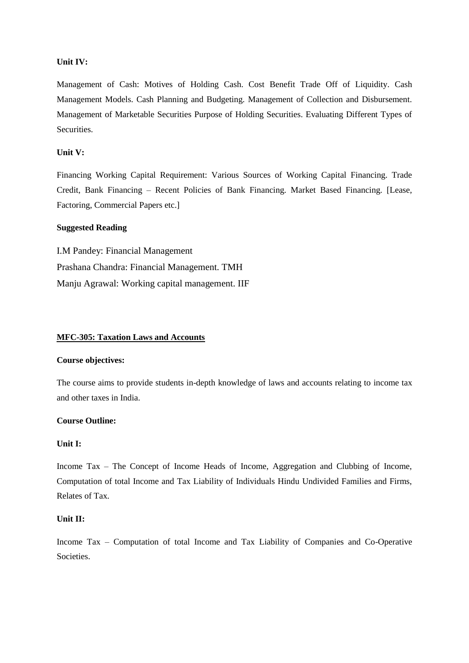#### **Unit IV:**

Management of Cash: Motives of Holding Cash. Cost Benefit Trade Off of Liquidity. Cash Management Models. Cash Planning and Budgeting. Management of Collection and Disbursement. Management of Marketable Securities Purpose of Holding Securities. Evaluating Different Types of Securities.

## **Unit V:**

Financing Working Capital Requirement: Various Sources of Working Capital Financing. Trade Credit, Bank Financing – Recent Policies of Bank Financing. Market Based Financing. [Lease, Factoring, Commercial Papers etc.]

### **Suggested Reading**

I.M Pandey: Financial Management Prashana Chandra: Financial Management. TMH Manju Agrawal: Working capital management. IIF

### **MFC-305: Taxation Laws and Accounts**

### **Course objectives:**

The course aims to provide students in-depth knowledge of laws and accounts relating to income tax and other taxes in India.

### **Course Outline:**

### **Unit I:**

Income Tax – The Concept of Income Heads of Income, Aggregation and Clubbing of Income, Computation of total Income and Tax Liability of Individuals Hindu Undivided Families and Firms, Relates of Tax.

#### **Unit II:**

Income Tax – Computation of total Income and Tax Liability of Companies and Co-Operative Societies.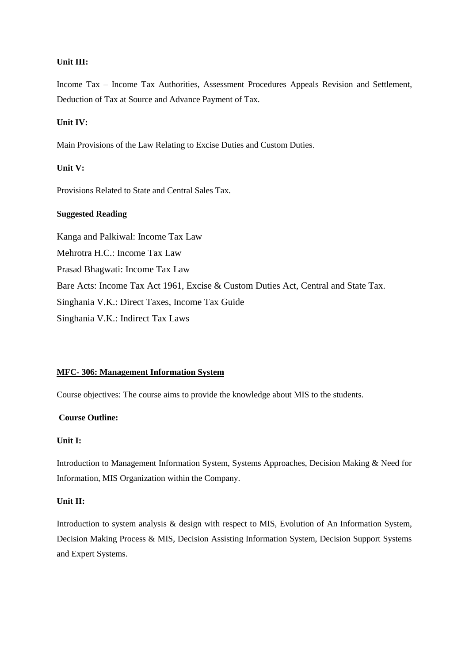Income Tax – Income Tax Authorities, Assessment Procedures Appeals Revision and Settlement, Deduction of Tax at Source and Advance Payment of Tax.

#### **Unit IV:**

Main Provisions of the Law Relating to Excise Duties and Custom Duties.

## **Unit V:**

Provisions Related to State and Central Sales Tax.

### **Suggested Reading**

Kanga and Palkiwal: Income Tax Law Mehrotra H.C.: Income Tax Law Prasad Bhagwati: Income Tax Law Bare Acts: Income Tax Act 1961, Excise & Custom Duties Act, Central and State Tax. Singhania V.K.: Direct Taxes, Income Tax Guide Singhania V.K.: Indirect Tax Laws

### **MFC- 306: Management Information System**

Course objectives: The course aims to provide the knowledge about MIS to the students.

#### **Course Outline:**

### **Unit I:**

Introduction to Management Information System, Systems Approaches, Decision Making & Need for Information, MIS Organization within the Company.

#### **Unit II:**

Introduction to system analysis & design with respect to MIS, Evolution of An Information System, Decision Making Process & MIS, Decision Assisting Information System, Decision Support Systems and Expert Systems.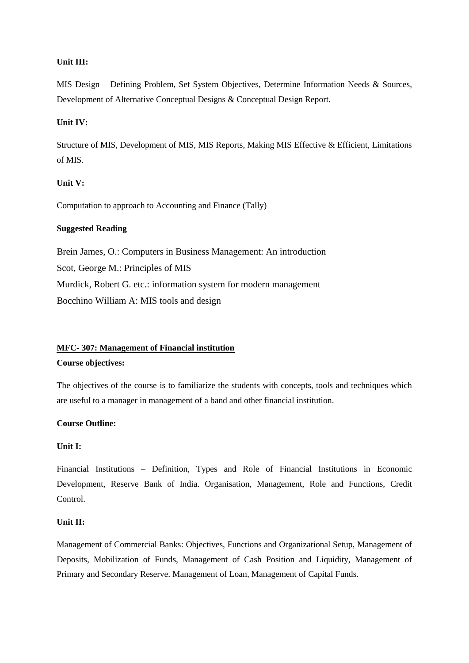MIS Design – Defining Problem, Set System Objectives, Determine Information Needs & Sources, Development of Alternative Conceptual Designs & Conceptual Design Report.

### **Unit IV:**

Structure of MIS, Development of MIS, MIS Reports, Making MIS Effective & Efficient, Limitations of MIS.

### **Unit V:**

Computation to approach to Accounting and Finance (Tally)

### **Suggested Reading**

Brein James, O.: Computers in Business Management: An introduction Scot, George M.: Principles of MIS Murdick, Robert G. etc.: information system for modern management Bocchino William A: MIS tools and design

## **MFC- 307: Management of Financial institution**

#### **Course objectives:**

The objectives of the course is to familiarize the students with concepts, tools and techniques which are useful to a manager in management of a band and other financial institution.

#### **Course Outline:**

#### **Unit I:**

Financial Institutions – Definition, Types and Role of Financial Institutions in Economic Development, Reserve Bank of India. Organisation, Management, Role and Functions, Credit Control.

#### **Unit II:**

Management of Commercial Banks: Objectives, Functions and Organizational Setup, Management of Deposits, Mobilization of Funds, Management of Cash Position and Liquidity, Management of Primary and Secondary Reserve. Management of Loan, Management of Capital Funds.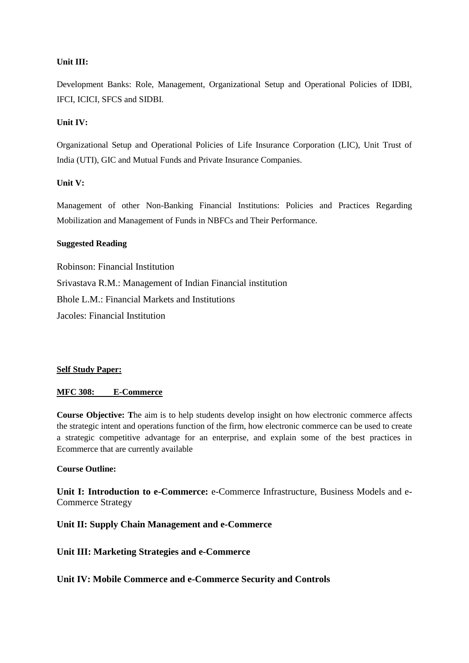Development Banks: Role, Management, Organizational Setup and Operational Policies of IDBI, IFCI, ICICI, SFCS and SIDBI.

## **Unit IV:**

Organizational Setup and Operational Policies of Life Insurance Corporation (LIC), Unit Trust of India (UTI), GIC and Mutual Funds and Private Insurance Companies.

### **Unit V:**

Management of other Non-Banking Financial Institutions: Policies and Practices Regarding Mobilization and Management of Funds in NBFCs and Their Performance.

### **Suggested Reading**

Robinson: Financial Institution Srivastava R.M.: Management of Indian Financial institution Bhole L.M.: Financial Markets and Institutions Jacoles: Financial Institution

#### **Self Study Paper:**

#### **MFC 308: E-Commerce**

**Course Objective: T**he aim is to help students develop insight on how electronic commerce affects the strategic intent and operations function of the firm, how electronic commerce can be used to create a strategic competitive advantage for an enterprise, and explain some of the best practices in Ecommerce that are currently available

### **Course Outline:**

**Unit I: Introduction to e-Commerce:** e-Commerce Infrastructure, Business Models and e-Commerce Strategy

### **Unit II: Supply Chain Management and e-Commerce**

## **Unit III: Marketing Strategies and e-Commerce**

**Unit IV: Mobile Commerce and e-Commerce Security and Controls**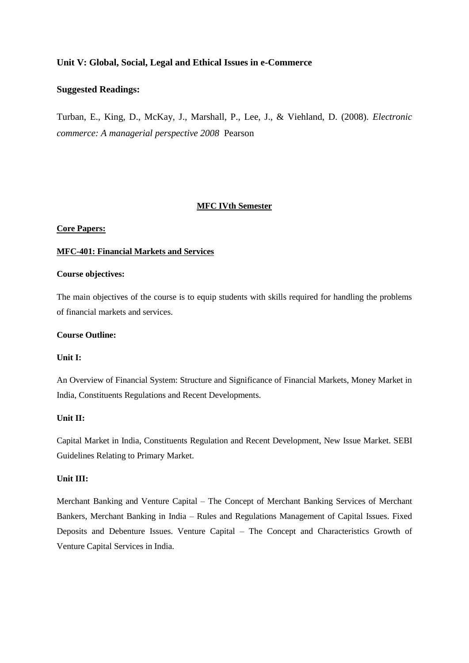## **Unit V: Global, Social, Legal and Ethical Issues in e-Commerce**

#### **Suggested Readings:**

Turban, E., King, D., McKay, J., Marshall, P., Lee, J., & Viehland, D. (2008). *Electronic commerce: A managerial perspective 2008* Pearson

#### **MFC IVth Semester**

#### **Core Papers:**

#### **MFC-401: Financial Markets and Services**

### **Course objectives:**

The main objectives of the course is to equip students with skills required for handling the problems of financial markets and services.

#### **Course Outline:**

### **Unit I:**

An Overview of Financial System: Structure and Significance of Financial Markets, Money Market in India, Constituents Regulations and Recent Developments.

### **Unit II:**

Capital Market in India, Constituents Regulation and Recent Development, New Issue Market. SEBI Guidelines Relating to Primary Market.

### **Unit III:**

Merchant Banking and Venture Capital – The Concept of Merchant Banking Services of Merchant Bankers, Merchant Banking in India – Rules and Regulations Management of Capital Issues. Fixed Deposits and Debenture Issues. Venture Capital – The Concept and Characteristics Growth of Venture Capital Services in India.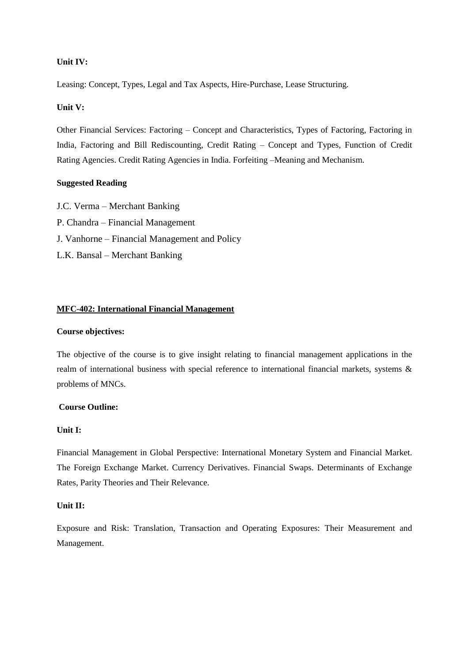### **Unit IV:**

Leasing: Concept, Types, Legal and Tax Aspects, Hire-Purchase, Lease Structuring.

### **Unit V:**

Other Financial Services: Factoring – Concept and Characteristics, Types of Factoring, Factoring in India, Factoring and Bill Rediscounting, Credit Rating – Concept and Types, Function of Credit Rating Agencies. Credit Rating Agencies in India. Forfeiting –Meaning and Mechanism.

### **Suggested Reading**

J.C. Verma – Merchant Banking P. Chandra – Financial Management J. Vanhorne – Financial Management and Policy L.K. Bansal – Merchant Banking

### **MFC-402: International Financial Management**

#### **Course objectives:**

The objective of the course is to give insight relating to financial management applications in the realm of international business with special reference to international financial markets, systems & problems of MNCs.

### **Course Outline:**

### **Unit I:**

Financial Management in Global Perspective: International Monetary System and Financial Market. The Foreign Exchange Market. Currency Derivatives. Financial Swaps. Determinants of Exchange Rates, Parity Theories and Their Relevance.

#### **Unit II:**

Exposure and Risk: Translation, Transaction and Operating Exposures: Their Measurement and Management.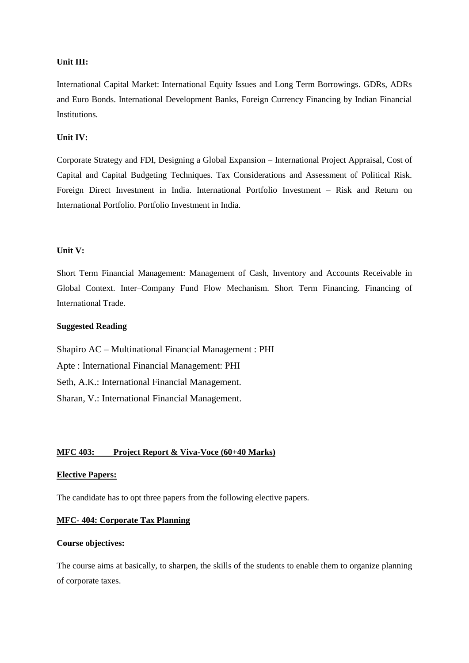International Capital Market: International Equity Issues and Long Term Borrowings. GDRs, ADRs and Euro Bonds. International Development Banks, Foreign Currency Financing by Indian Financial Institutions.

#### **Unit IV:**

Corporate Strategy and FDI, Designing a Global Expansion – International Project Appraisal, Cost of Capital and Capital Budgeting Techniques. Tax Considerations and Assessment of Political Risk. Foreign Direct Investment in India. International Portfolio Investment – Risk and Return on International Portfolio. Portfolio Investment in India.

#### **Unit V:**

Short Term Financial Management: Management of Cash, Inventory and Accounts Receivable in Global Context. Inter–Company Fund Flow Mechanism. Short Term Financing. Financing of International Trade.

### **Suggested Reading**

Shapiro AC – Multinational Financial Management : PHI Apte : International Financial Management: PHI Seth, A.K.: International Financial Management. Sharan, V.: International Financial Management.

#### **MFC 403: Project Report & Viva-Voce (60+40 Marks)**

#### **Elective Papers:**

The candidate has to opt three papers from the following elective papers.

#### **MFC- 404: Corporate Tax Planning**

#### **Course objectives:**

The course aims at basically, to sharpen, the skills of the students to enable them to organize planning of corporate taxes.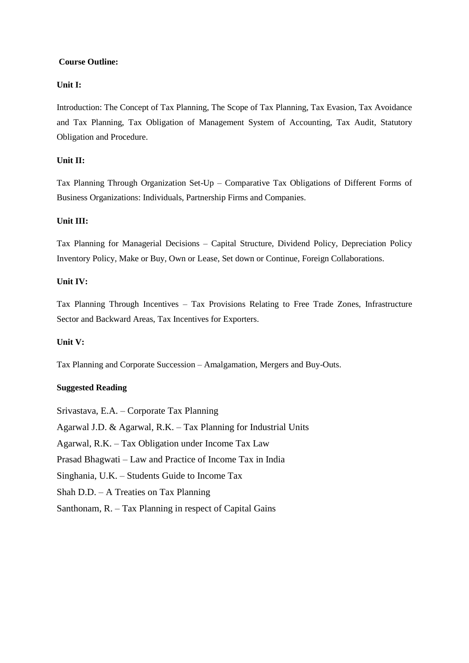### **Course Outline:**

## **Unit I:**

Introduction: The Concept of Tax Planning, The Scope of Tax Planning, Tax Evasion, Tax Avoidance and Tax Planning, Tax Obligation of Management System of Accounting, Tax Audit, Statutory Obligation and Procedure.

### **Unit II:**

Tax Planning Through Organization Set-Up – Comparative Tax Obligations of Different Forms of Business Organizations: Individuals, Partnership Firms and Companies.

### **Unit III:**

Tax Planning for Managerial Decisions – Capital Structure, Dividend Policy, Depreciation Policy Inventory Policy, Make or Buy, Own or Lease, Set down or Continue, Foreign Collaborations.

### **Unit IV:**

Tax Planning Through Incentives – Tax Provisions Relating to Free Trade Zones, Infrastructure Sector and Backward Areas, Tax Incentives for Exporters.

### **Unit V:**

Tax Planning and Corporate Succession – Amalgamation, Mergers and Buy-Outs.

### **Suggested Reading**

Srivastava, E.A. – Corporate Tax Planning Agarwal J.D. & Agarwal, R.K. – Tax Planning for Industrial Units Agarwal, R.K. – Tax Obligation under Income Tax Law Prasad Bhagwati – Law and Practice of Income Tax in India Singhania, U.K. – Students Guide to Income Tax Shah D.D. – A Treaties on Tax Planning Santhonam, R. – Tax Planning in respect of Capital Gains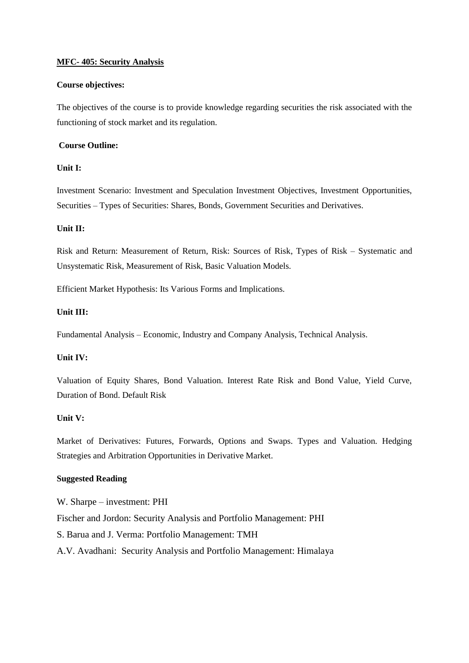### **MFC- 405: Security Analysis**

### **Course objectives:**

The objectives of the course is to provide knowledge regarding securities the risk associated with the functioning of stock market and its regulation.

### **Course Outline:**

### **Unit I:**

Investment Scenario: Investment and Speculation Investment Objectives, Investment Opportunities, Securities – Types of Securities: Shares, Bonds, Government Securities and Derivatives.

### **Unit II:**

Risk and Return: Measurement of Return, Risk: Sources of Risk, Types of Risk – Systematic and Unsystematic Risk, Measurement of Risk, Basic Valuation Models.

Efficient Market Hypothesis: Its Various Forms and Implications.

### **Unit III:**

Fundamental Analysis – Economic, Industry and Company Analysis, Technical Analysis.

## **Unit IV:**

Valuation of Equity Shares, Bond Valuation. Interest Rate Risk and Bond Value, Yield Curve, Duration of Bond. Default Risk

## **Unit V:**

Market of Derivatives: Futures, Forwards, Options and Swaps. Types and Valuation. Hedging Strategies and Arbitration Opportunities in Derivative Market.

#### **Suggested Reading**

W. Sharpe – investment: PHI Fischer and Jordon: Security Analysis and Portfolio Management: PHI S. Barua and J. Verma: Portfolio Management: TMH A.V. Avadhani: Security Analysis and Portfolio Management: Himalaya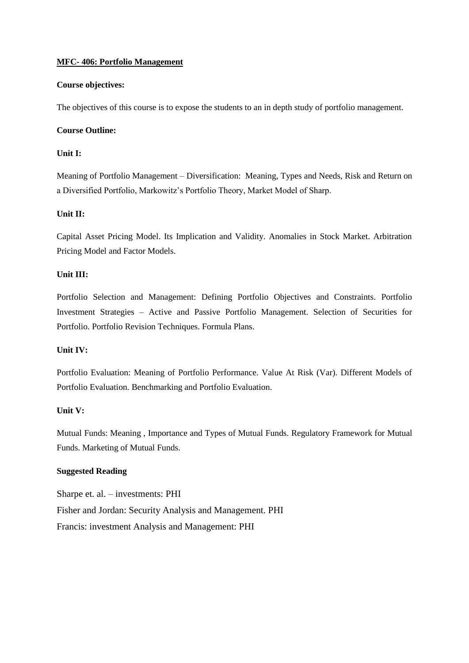### **MFC- 406: Portfolio Management**

### **Course objectives:**

The objectives of this course is to expose the students to an in depth study of portfolio management.

### **Course Outline:**

### **Unit I:**

Meaning of Portfolio Management – Diversification: Meaning, Types and Needs, Risk and Return on a Diversified Portfolio, Markowitz's Portfolio Theory, Market Model of Sharp.

### **Unit II:**

Capital Asset Pricing Model. Its Implication and Validity. Anomalies in Stock Market. Arbitration Pricing Model and Factor Models.

### **Unit III:**

Portfolio Selection and Management: Defining Portfolio Objectives and Constraints. Portfolio Investment Strategies – Active and Passive Portfolio Management. Selection of Securities for Portfolio. Portfolio Revision Techniques. Formula Plans.

## **Unit IV:**

Portfolio Evaluation: Meaning of Portfolio Performance. Value At Risk (Var). Different Models of Portfolio Evaluation. Benchmarking and Portfolio Evaluation.

## **Unit V:**

Mutual Funds: Meaning , Importance and Types of Mutual Funds. Regulatory Framework for Mutual Funds. Marketing of Mutual Funds.

## **Suggested Reading**

Sharpe et. al. – investments: PHI Fisher and Jordan: Security Analysis and Management. PHI Francis: investment Analysis and Management: PHI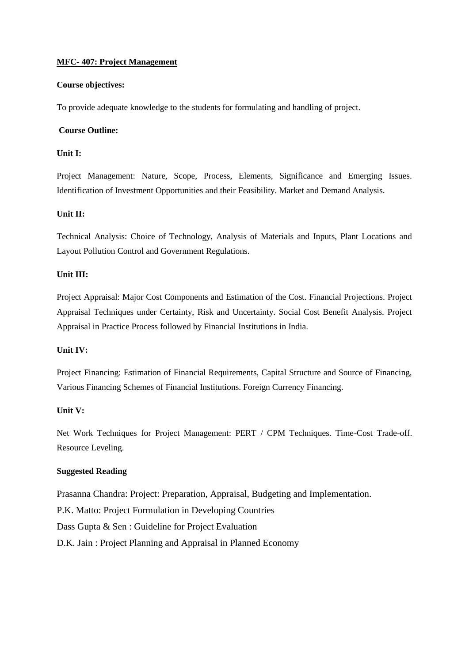### **MFC- 407: Project Management**

### **Course objectives:**

To provide adequate knowledge to the students for formulating and handling of project.

### **Course Outline:**

### **Unit I:**

Project Management: Nature, Scope, Process, Elements, Significance and Emerging Issues. Identification of Investment Opportunities and their Feasibility. Market and Demand Analysis.

### **Unit II:**

Technical Analysis: Choice of Technology, Analysis of Materials and Inputs, Plant Locations and Layout Pollution Control and Government Regulations.

### **Unit III:**

Project Appraisal: Major Cost Components and Estimation of the Cost. Financial Projections. Project Appraisal Techniques under Certainty, Risk and Uncertainty. Social Cost Benefit Analysis. Project Appraisal in Practice Process followed by Financial Institutions in India.

## **Unit IV:**

Project Financing: Estimation of Financial Requirements, Capital Structure and Source of Financing, Various Financing Schemes of Financial Institutions. Foreign Currency Financing.

## **Unit V:**

Net Work Techniques for Project Management: PERT / CPM Techniques. Time-Cost Trade-off. Resource Leveling.

## **Suggested Reading**

Prasanna Chandra: Project: Preparation, Appraisal, Budgeting and Implementation. P.K. Matto: Project Formulation in Developing Countries Dass Gupta & Sen : Guideline for Project Evaluation D.K. Jain : Project Planning and Appraisal in Planned Economy